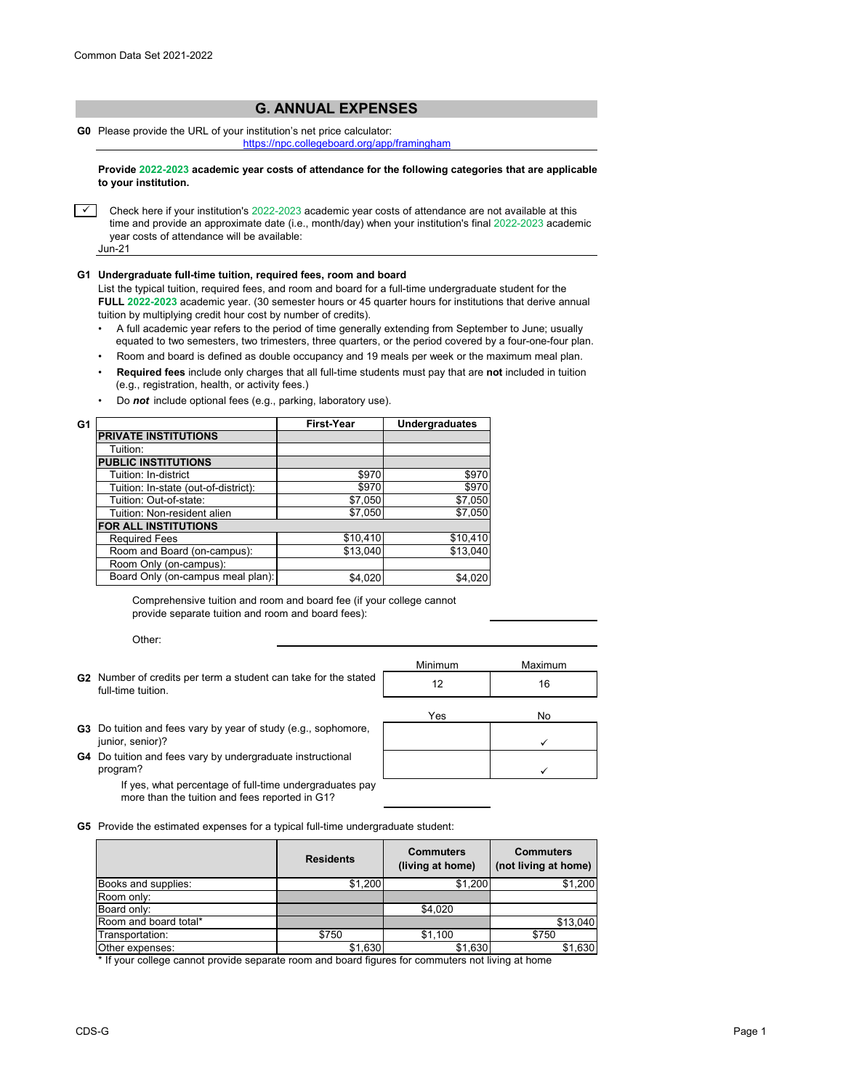## **G. ANNUAL EXPENSES**

**G0** Please provide the URL of your institution's net price calculator:

<https://npc.collegeboard.org/app/framingham>

**Provide 2022-2023 academic year costs of attendance for the following categories that are applicable to your institution.**

 $\overline{\phantom{0}}$ Check here if your institution's 2022-2023 academic year costs of attendance are not available at this time and provide an approximate date (i.e., month/day) when your institution's final 2022-2023 academic year costs of attendance will be available: Jun-21

## **G1 Undergraduate full-time tuition, required fees, room and board**

List the typical tuition, required fees, and room and board for a full-time undergraduate student for the **FULL 2022-2023** academic year. (30 semester hours or 45 quarter hours for institutions that derive annual tuition by multiplying credit hour cost by number of credits).

- •A full academic year refers to the period of time generally extending from September to June; usually equated to two semesters, two trimesters, three quarters, or the period covered by a four-one-four plan.
- Room and board is defined as double occupancy and 19 meals per week or the maximum meal plan.
- • **Required fees** include only charges that all full-time students must pay that are **not** included in tuition (e.g., registration, health, or activity fees.)
- Do *not* include optional fees (e.g., parking, laboratory use).

| G1 |                                      | <b>First-Year</b> | <b>Undergraduates</b> |
|----|--------------------------------------|-------------------|-----------------------|
|    | <b>PRIVATE INSTITUTIONS</b>          |                   |                       |
|    | Tuition:                             |                   |                       |
|    | <b>PUBLIC INSTITUTIONS</b>           |                   |                       |
|    | Tuition: In-district                 | \$970             | \$970                 |
|    | Tuition: In-state (out-of-district): | \$970             | \$970                 |
|    | Tuition: Out-of-state:               | \$7,050           | \$7,050               |
|    | Tuition: Non-resident alien          | \$7,050           | \$7,050               |
|    | <b>FOR ALL INSTITUTIONS</b>          |                   |                       |
|    | <b>Required Fees</b>                 | \$10,410          | \$10,410              |
|    | Room and Board (on-campus):          | \$13,040          | \$13,040              |
|    | Room Only (on-campus):               |                   |                       |
|    | Board Only (on-campus meal plan):    | \$4,020           | \$4,020               |

Comprehensive tuition and room and board fee (if your college cannot provide separate tuition and room and board fees):

Other:

|                                                                                       | Minimum | Maximum |
|---------------------------------------------------------------------------------------|---------|---------|
| G2 Number of credits per term a student can take for the stated<br>full-time tuition. |         | 16      |
|                                                                                       |         |         |

Yes No

✓

 $\checkmark$ 

- **G3** Do tuition and fees vary by year of study (e.g., sophomore, junior, senior)?
- **G4** Do tuition and fees vary by undergraduate instructional program?

If yes, what percentage of full-time undergraduates pay more than the tuition and fees reported in G1?

**G5** Provide the estimated expenses for a typical full-time undergraduate student:

|                       | <b>Residents</b> | <b>Commuters</b><br>(living at home) | <b>Commuters</b><br>(not living at home) |
|-----------------------|------------------|--------------------------------------|------------------------------------------|
| Books and supplies:   | \$1,200          | \$1,200                              | \$1,200                                  |
| Room only:            |                  |                                      |                                          |
| Board only:           |                  | \$4.020                              |                                          |
| Room and board total* |                  |                                      | \$13.040                                 |
| Transportation:       | \$750            | \$1,100                              | \$750                                    |
| Other expenses:       | \$1,630          | \$1.630                              | \$1,630                                  |

\* If your college cannot provide separate room and board figures for commuters not living at home